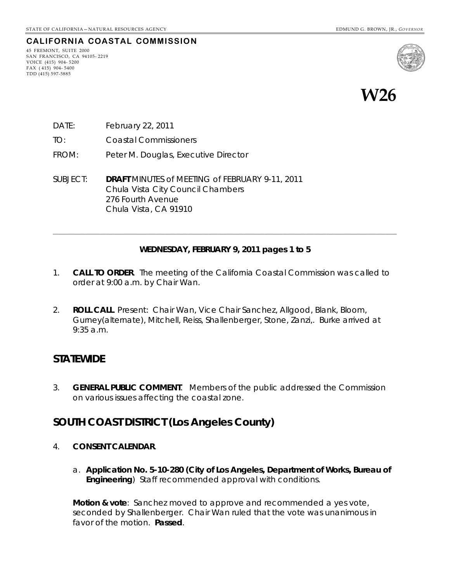## **CALIFORNIA COASTAL COMMISSION**

45 FREMONT, SUITE 2000 SAN FRANCISCO, CA 94105- 2219 VOICE (415) 904- 5200 FAX ( 415) 904- 5400 TDD (415) 597-5885



**W26** 

- DATE: February 22, 2011
- TO: Coastal Commissioners
- FROM: Peter M. Douglas, Executive Director
- SUBJECT: **DRAFT** MINUTES of MEETING of FEBRUARY 9-11, 2011 Chula Vista City Council Chambers 276 Fourth Avenue Chula Vista, CA 91910

#### **WEDNESDAY, FEBRUARY 9, 2011 pages 1 to 5**

**\_\_\_\_\_\_\_\_\_\_\_\_\_\_\_\_\_\_\_\_\_\_\_\_\_\_\_\_\_\_\_\_\_\_\_\_\_\_\_\_\_\_\_\_\_\_\_\_\_\_\_\_\_\_\_\_\_\_\_\_\_\_\_\_\_\_\_\_\_\_\_\_\_\_\_\_\_\_\_\_\_\_\_\_\_\_\_\_\_\_\_\_\_\_\_\_\_\_\_\_\_\_\_\_\_\_\_\_\_\_\_\_\_\_\_\_\_** 

- 1. **CALL TO ORDER**. The meeting of the California Coastal Commission was called to order at 9:00 a.m. by Chair Wan.
- 2. **ROLL CALL**. Present: Chair Wan, Vice Chair Sanchez, Allgood, Blank, Bloom, Gurney(alternate), Mitchell, Reiss, Shallenberger, Stone, Zanzi,. Burke arrived at 9:35 a.m.

## **STATEWIDE**

3. **GENERAL PUBLIC COMMENT**. Members of the public addressed the Commission on various issues affecting the coastal zone.

## **SOUTH COAST DISTRICT (Los Angeles County)**

- 4. **CONSENT CALENDAR**.
	- a. **Application No. 5-10-280 (City of Los Angeles, Department of Works, Bureau of Engineering**) Staff recommended approval with conditions.

**Motion & vote**: Sanchez moved to approve and recommended a yes vote, seconded by Shallenberger. Chair Wan ruled that the vote was unanimous in favor of the motion. **Passed**.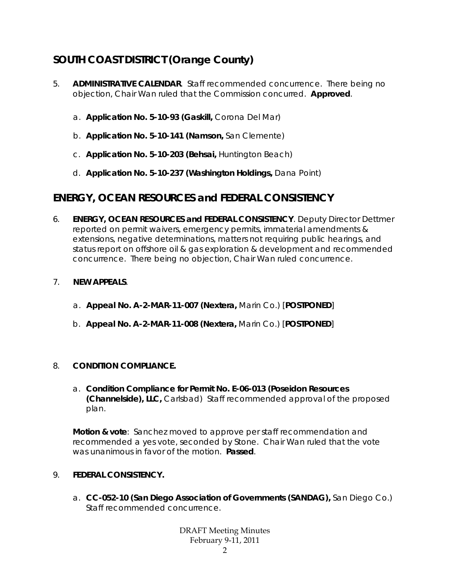# **SOUTH COAST DISTRICT (Orange County)**

- 5. **ADMINISTRATIVE CALENDAR**. Staff recommended concurrence. There being no objection, Chair Wan ruled that the Commission concurred. **Approved**.
	- a. **Application No. 5-10-93 (Gaskill,** Corona Del Mar)
	- b. **Application No. 5-10-141 (Namson,** San Clemente)
	- c. **Application No. 5-10-203 (Behsai,** Huntington Beach)
	- d. **Application No. 5-10-237 (Washington Holdings,** Dana Point)

# **ENERGY, OCEAN RESOURCES and FEDERAL CONSISTENCY**

6. **ENERGY, OCEAN RESOURCES and FEDERAL CONSISTENCY**. Deputy Director Dettmer reported on permit waivers, emergency permits, immaterial amendments & extensions, negative determinations, matters not requiring public hearings, and status report on offshore oil & gas exploration & development and recommended concurrence. There being no objection, Chair Wan ruled concurrence.

### 7. **NEW APPEALS**.

- a. **Appeal No. A-2-MAR-11-007 (Nextera,** Marin Co.) [**POSTPONED**]
- b. **Appeal No. A-2-MAR-11-008 (Nextera,** Marin Co.) [**POSTPONED**]

### 8. **CONDITION COMPLIANCE.**

a. **Condition Compliance for Permit No. E-06-013 (Poseidon Resources (Channelside), LLC,** Carlsbad) Staff recommended approval of the proposed plan.

**Motion & vote**: Sanchez moved to approve per staff recommendation and recommended a yes vote, seconded by Stone. Chair Wan ruled that the vote was unanimous in favor of the motion. **Passed**.

### 9. **FEDERAL CONSISTENCY.**

a. **CC-052-10 (San Diego Association of Governments (SANDAG),** San Diego Co.) Staff recommended concurrence.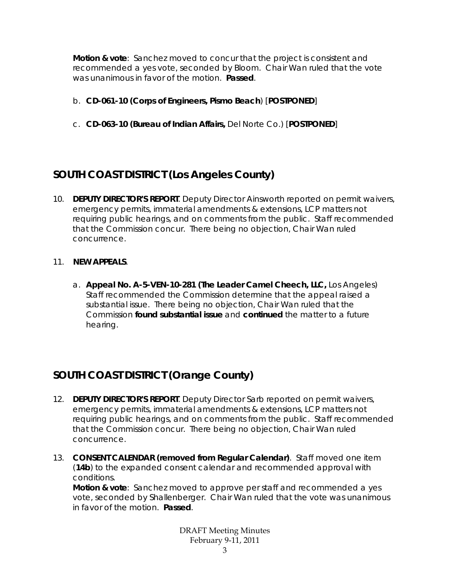**Motion & vote**: Sanchez moved to concur that the project is consistent and recommended a yes vote, seconded by Bloom. Chair Wan ruled that the vote was unanimous in favor of the motion. **Passed**.

- b. **CD-061-10 (Corps of Engineers, Pismo Beach**) [**POSTPONED**]
- c. **CD-063-10 (Bureau of Indian Affairs,** Del Norte Co.) [**POSTPONED**]

# **SOUTH COAST DISTRICT (Los Angeles County)**

10. **DEPUTY DIRECTOR'S REPORT**. Deputy Director Ainsworth reported on permit waivers, emergency permits, immaterial amendments & extensions, LCP matters not requiring public hearings, and on comments from the public. Staff recommended that the Commission concur. There being no objection, Chair Wan ruled concurrence.

### 11. **NEW APPEALS**.

a. **Appeal No. A-5-VEN-10-281 (The Leader Camel Cheech, LLC,** Los Angeles) Staff recommended the Commission determine that the appeal raised a substantial issue. There being no objection, Chair Wan ruled that the Commission **found substantial issue** and **continued** the matter to a future hearing.

# **SOUTH COAST DISTRICT (Orange County)**

- 12. **DEPUTY DIRECTOR'S REPORT**. Deputy Director Sarb reported on permit waivers, emergency permits, immaterial amendments & extensions, LCP matters not requiring public hearings, and on comments from the public. Staff recommended that the Commission concur. There being no objection, Chair Wan ruled concurrence.
- 13. **CONSENT CALENDAR (removed from Regular Calendar)**. Staff moved one item (**14b**) to the expanded consent calendar and recommended approval with conditions.

**Motion & vote**: Sanchez moved to approve per staff and recommended a yes vote, seconded by Shallenberger. Chair Wan ruled that the vote was unanimous in favor of the motion. **Passed**.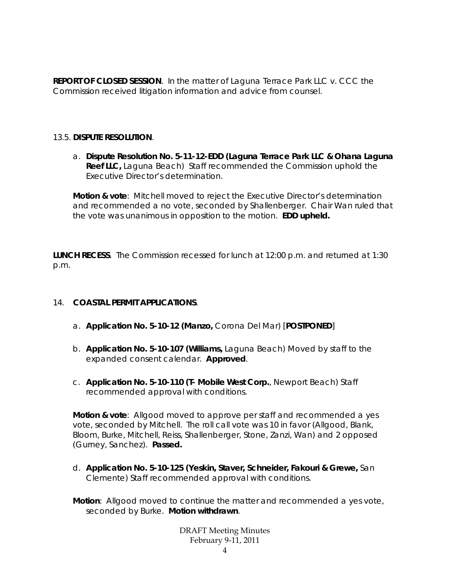**REPORT OF CLOSED SESSION**. In the matter of Laguna Terrace Park LLC v. CCC the Commission received litigation information and advice from counsel.

### 13.5. **DISPUTE RESOLUTION**.

a. **Dispute Resolution No. 5-11-12-EDD (Laguna Terrace Park LLC & Ohana Laguna Reef LLC,** Laguna Beach) Staff recommended the Commission uphold the Executive Director's determination.

**Motion & vote**: Mitchell moved to reject the Executive Director's determination and recommended a no vote, seconded by Shallenberger. Chair Wan ruled that the vote was unanimous in opposition to the motion. **EDD upheld.**

**LUNCH RECESS**. The Commission recessed for lunch at 12:00 p.m. and returned at 1:30 p.m.

### 14. **COASTAL PERMIT APPLICATIONS**.

- a. **Application No. 5-10-12 (Manzo,** Corona Del Mar) [**POSTPONED**]
- b. **Application No. 5-10-107 (Williams,** Laguna Beach) Moved by staff to the expanded consent calendar. **Approved**.
- c. **Application No. 5-10-110 (T- Mobile West Corp.**, Newport Beach) Staff recommended approval with conditions.

**Motion & vote**: Allgood moved to approve per staff and recommended a yes vote, seconded by Mitchell. The roll call vote was 10 in favor (Allgood, Blank, Bloom, Burke, Mitchell, Reiss, Shallenberger, Stone, Zanzi, Wan) and 2 opposed (Gurney, Sanchez). **Passed.**

- d. **Application No. 5-10-125 (Yeskin, Staver, Schneider, Fakouri & Grewe,** San Clemente) Staff recommended approval with conditions.
- **Motion**: Allgood moved to continue the matter and recommended a yes vote, seconded by Burke. **Motion withdrawn**.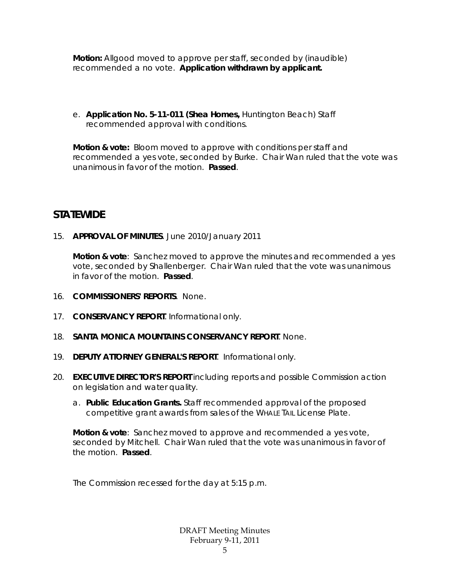**Motion:** Allgood moved to approve per staff, seconded by (inaudible) recommended a no vote. **Application withdrawn by applicant.** 

e. **Application No. 5-11-011 (Shea Homes,** Huntington Beach) Staff recommended approval with conditions.

**Motion & vote:** Bloom moved to approve with conditions per staff and recommended a yes vote, seconded by Burke. Chair Wan ruled that the vote was unanimous in favor of the motion. **Passed**.

# **STATEWIDE**

15. **APPROVAL OF MINUTES**. June 2010/January 2011

**Motion & vote**: Sanchez moved to approve the minutes and recommended a yes vote, seconded by Shallenberger. Chair Wan ruled that the vote was unanimous in favor of the motion. **Passed**.

- 16. **COMMISSIONERS' REPORTS**. None.
- 17. **CONSERVANCY REPORT**. Informational only.
- 18. **SANTA MONICA MOUNTAINS CONSERVANCY REPORT**. None.
- 19. **DEPUTY ATTORNEY GENERAL'S REPORT**. Informational only.
- 20. **EXECUTIVE DIRECTOR'S REPORT** including reports and possible Commission action on legislation and water quality.
	- a. **Public Education Grants.** Staff recommended approval of the proposed competitive grant awards from sales of the WHALE TAIL License Plate.

**Motion & vote**: Sanchez moved to approve and recommended a yes vote, seconded by Mitchell. Chair Wan ruled that the vote was unanimous in favor of the motion. **Passed**.

The Commission recessed for the day at 5:15 p.m.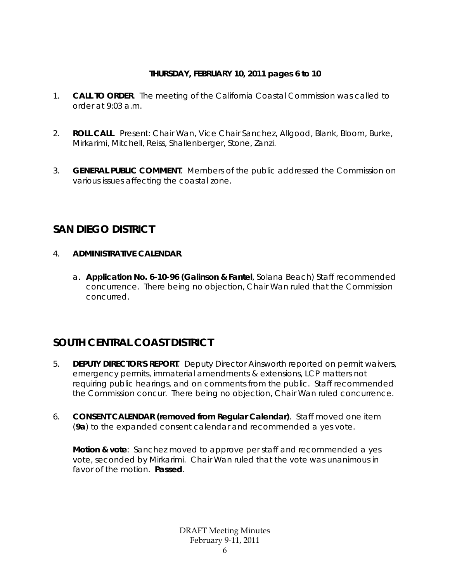### **THURSDAY, FEBRUARY 10, 2011 pages 6 to 10**

- 1. **CALL TO ORDER**. The meeting of the California Coastal Commission was called to order at  $9:03$  a.m.
- 2. **ROLL CALL**. Present: Chair Wan, Vice Chair Sanchez, Allgood, Blank, Bloom, Burke, Mirkarimi, Mitchell, Reiss, Shallenberger, Stone, Zanzi.
- 3. **GENERAL PUBLIC COMMENT**. Members of the public addressed the Commission on various issues affecting the coastal zone.

# **SAN DIEGO DISTRICT**

## 4. **ADMINISTRATIVE CALENDAR**.

a. **Application No. 6-10-96 (Galinson & Fantel**, Solana Beach) Staff recommended concurrence. There being no objection, Chair Wan ruled that the Commission concurred.

# **SOUTH CENTRAL COAST DISTRICT**

- 5. **DEPUTY DIRECTOR'S REPORT**. Deputy Director Ainsworth reported on permit waivers, emergency permits, immaterial amendments & extensions, LCP matters not requiring public hearings, and on comments from the public. Staff recommended the Commission concur. There being no objection, Chair Wan ruled concurrence.
- 6. **CONSENT CALENDAR (removed from Regular Calendar)**. Staff moved one item (**9a**) to the expanded consent calendar and recommended a yes vote.

**Motion & vote**: Sanchez moved to approve per staff and recommended a yes vote, seconded by Mirkarimi. Chair Wan ruled that the vote was unanimous in favor of the motion. **Passed**.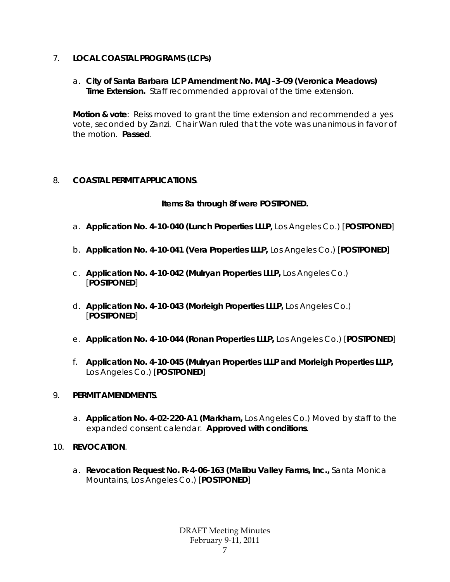## 7. **LOCAL COASTAL PROGRAMS (LCPs)**

a. **City of Santa Barbara LCP Amendment No. MAJ-3-09 (Veronica Meadows) Time Extension.** Staff recommended approval of the time extension.

**Motion & vote**: Reiss moved to grant the time extension and recommended a yes vote, seconded by Zanzi. Chair Wan ruled that the vote was unanimous in favor of the motion. **Passed**.

## 8. **COASTAL PERMIT APPLICATIONS**.

## **Items 8a through 8f were POSTPONED.**

- a. **Application No. 4-10-040 (Lunch Properties LLLP,** Los Angeles Co.) [**POSTPONED**]
- b. **Application No. 4-10-041 (Vera Properties LLLP,** Los Angeles Co.) [**POSTPONED**]
- c. **Application No. 4-10-042 (Mulryan Properties LLLP,** Los Angeles Co.) [**POSTPONED**]
- d. **Application No. 4-10-043 (Morleigh Properties LLLP,** Los Angeles Co.) [**POSTPONED**]
- e. **Application No. 4-10-044 (Ronan Properties LLLP,** Los Angeles Co.) [**POSTPONED**]
- f. **Application No. 4-10-045 (Mulryan Properties LLLP and Morleigh Properties LLLP,**  Los Angeles Co.) [**POSTPONED**]

### 9. **PERMIT AMENDMENTS**.

- a. **Application No. 4-02-220-A1 (Markham,** Los Angeles Co.) Moved by staff to the expanded consent calendar. **Approved with conditions**.
- 10. **REVOCATION**.
	- a. **Revocation Request No. R-4-06-163 (Malibu Valley Farms, Inc.,** Santa Monica Mountains, Los Angeles Co.) [**POSTPONED**]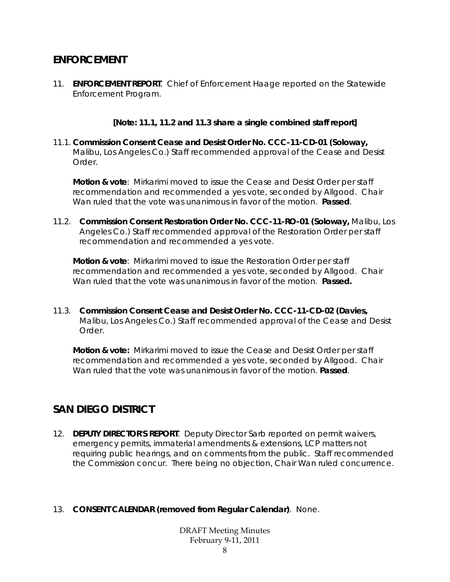# **ENFORCEMENT**

11. **ENFORCEMENT REPORT**. Chief of Enforcement Haage reported on the Statewide Enforcement Program.

### **[Note: 11.1, 11.2 and 11.3 share a single combined staff report]**

11.1. **Commission Consent Cease and Desist Order No. CCC-11-CD-01 (Soloway,** Malibu, Los Angeles Co.) Staff recommended approval of the Cease and Desist Order.

**Motion & vote**: Mirkarimi moved to issue the Cease and Desist Order per staff recommendation and recommended a yes vote, seconded by Allgood. Chair Wan ruled that the vote was unanimous in favor of the motion. **Passed**.

11.2. **Commission Consent Restoration Order No. CCC-11-RO-01 (Soloway,** Malibu, Los Angeles Co.) Staff recommended approval of the Restoration Order per staff recommendation and recommended a yes vote.

**Motion & vote**: Mirkarimi moved to issue the Restoration Order per staff recommendation and recommended a yes vote, seconded by Allgood. Chair Wan ruled that the vote was unanimous in favor of the motion. **Passed.** 

11.3. **Commission Consent Cease and Desist Order No. CCC-11-CD-02 (Davies,** Malibu, Los Angeles Co.) Staff recommended approval of the Cease and Desist Order.

**Motion & vote:** Mirkarimi moved to issue the Cease and Desist Order per staff recommendation and recommended a yes vote, seconded by Allgood. Chair Wan ruled that the vote was unanimous in favor of the motion. **Passed**.

# **SAN DIEGO DISTRICT**

12. **DEPUTY DIRECTOR'S REPORT**. Deputy Director Sarb reported on permit waivers, emergency permits, immaterial amendments & extensions, LCP matters not requiring public hearings, and on comments from the public. Staff recommended the Commission concur. There being no objection, Chair Wan ruled concurrence.

### 13. **CONSENT CALENDAR (removed from Regular Calendar)**. None.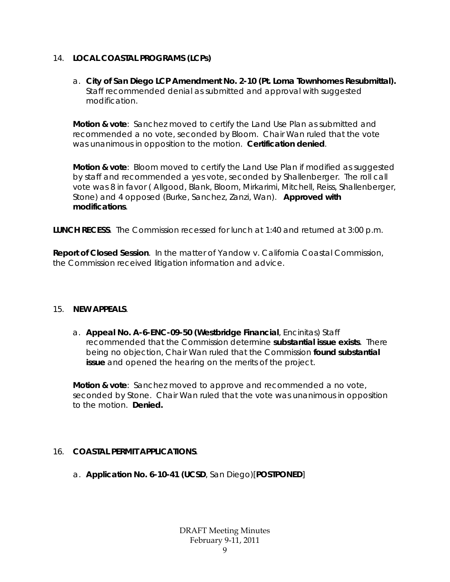### 14. **LOCAL COASTAL PROGRAMS (LCPs)**

a. **City of San Diego LCP Amendment No. 2-10 (Pt. Loma Townhomes Resubmittal).**  Staff recommended denial as submitted and approval with suggested modification.

**Motion & vote**: Sanchez moved to certify the Land Use Plan as submitted and recommended a no vote, seconded by Bloom. Chair Wan ruled that the vote was unanimous in opposition to the motion. **Certification denied**.

**Motion & vote**: Bloom moved to certify the Land Use Plan if modified as suggested by staff and recommended a yes vote, seconded by Shallenberger. The roll call vote was 8 in favor ( Allgood, Blank, Bloom, Mirkarimi, Mitchell, Reiss, Shallenberger, Stone) and 4 opposed (Burke, Sanchez, Zanzi, Wan). **Approved with modifications**.

**LUNCH RECESS**. The Commission recessed for lunch at 1:40 and returned at 3:00 p.m.

**Report of Closed Session**. In the matter of Yandow v. California Coastal Commission, the Commission received litigation information and advice.

### 15. **NEW APPEALS**.

a. **Appeal No. A-6-ENC-09-50 (Westbridge Financial**, Encinitas) Staff recommended that the Commission determine **substantial issue exists**. There being no objection, Chair Wan ruled that the Commission **found substantial issue** and opened the hearing on the merits of the project.

**Motion & vote**: Sanchez moved to approve and recommended a no vote, seconded by Stone. Chair Wan ruled that the vote was unanimous in opposition to the motion. **Denied.**

### 16. **COASTAL PERMIT APPLICATIONS**.

a. **Application No. 6-10-41 (UCSD**, San Diego)[**POSTPONED**]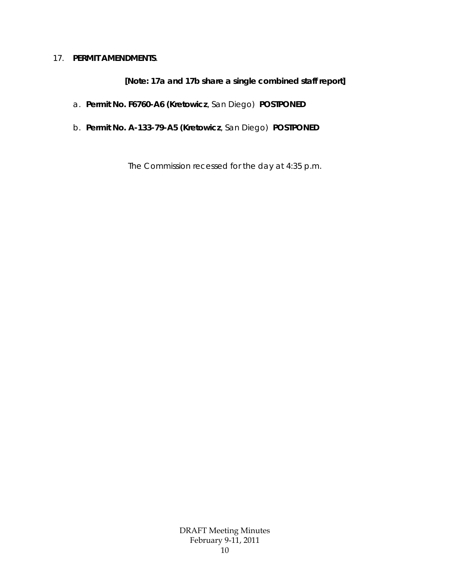#### 17. **PERMIT AMENDMENTS**.

### **[Note: 17a and 17b share a single combined staff report]**

- a. **Permit No. F6760-A6 (Kretowicz**, San Diego) **POSTPONED**
- b. **Permit No. A-133-79-A5 (Kretowicz**, San Diego) **POSTPONED**

The Commission recessed for the day at 4:35 p.m.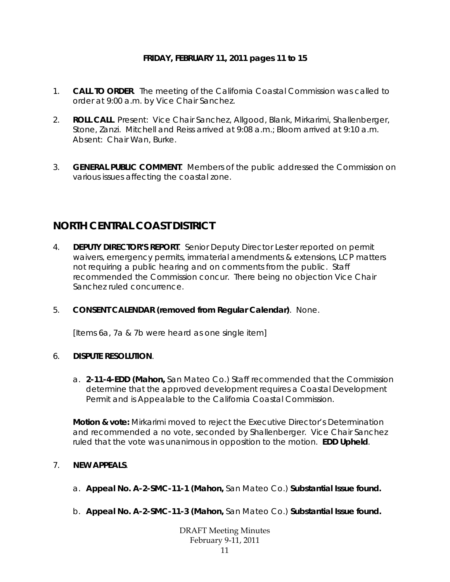### **FRIDAY, FEBRUARY 11, 2011 pages 11 to 15**

- 1. **CALL TO ORDER**. The meeting of the California Coastal Commission was called to order at 9:00 a.m. by Vice Chair Sanchez.
- 2. **ROLL CALL**. Present: Vice Chair Sanchez, Allgood, Blank, Mirkarimi, Shallenberger, Stone, Zanzi. Mitchell and Reiss arrived at 9:08 a.m.; Bloom arrived at 9:10 a.m. Absent: Chair Wan, Burke.
- 3. **GENERAL PUBLIC COMMENT**. Members of the public addressed the Commission on various issues affecting the coastal zone.

# **NORTH CENTRAL COAST DISTRICT**

- 4. **DEPUTY DIRECTOR'S REPORT**. Senior Deputy Director Lester reported on permit waivers, emergency permits, immaterial amendments & extensions, LCP matters not requiring a public hearing and on comments from the public. Staff recommended the Commission concur. There being no objection Vice Chair Sanchez ruled concurrence.
- 5. **CONSENT CALENDAR (removed from Regular Calendar)**. None.

[Items 6a, 7a & 7b were heard as one single item]

### 6. **DISPUTE RESOLUTION**.

a. **2-11-4-EDD (Mahon,** San Mateo Co.) Staff recommended that the Commission determine that the approved development requires a Coastal Development Permit and is Appealable to the California Coastal Commission.

**Motion & vote:** Mirkarimi moved to reject the Executive Director's Determination and recommended a no vote, seconded by Shallenberger. Vice Chair Sanchez ruled that the vote was unanimous in opposition to the motion. **EDD Upheld**.

### 7. **NEW APPEALS**.

- a. **Appeal No. A-2-SMC-11-1 (Mahon,** San Mateo Co.) **Substantial Issue found.**
- b. **Appeal No. A-2-SMC-11-3 (Mahon,** San Mateo Co.) **Substantial Issue found.**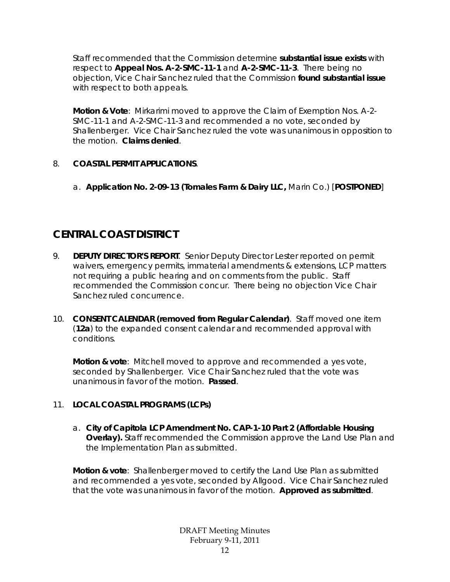Staff recommended that the Commission determine **substantial issue exists** with respect to **Appeal Nos. A-2-SMC-11-1** and **A-2-SMC-11-3**. There being no objection, Vice Chair Sanchez ruled that the Commission **found substantial issue** with respect to both appeals.

**Motion & Vote**: Mirkarimi moved to approve the Claim of Exemption Nos. A-2- SMC-11-1 and A-2-SMC-11-3 and recommended a no vote, seconded by Shallenberger. Vice Chair Sanchez ruled the vote was unanimous in opposition to the motion. **Claims denied**.

## 8. **COASTAL PERMIT APPLICATIONS**.

a. **Application No. 2-09-13 (Tomales Farm & Dairy LLC,** Marin Co.) [**POSTPONED**]

# **CENTRAL COAST DISTRICT**

- 9. **DEPUTY DIRECTOR'S REPORT**. Senior Deputy Director Lester reported on permit waivers, emergency permits, immaterial amendments & extensions, LCP matters not requiring a public hearing and on comments from the public. Staff recommended the Commission concur. There being no objection Vice Chair Sanchez ruled concurrence.
- 10. **CONSENT CALENDAR (removed from Regular Calendar)**. Staff moved one item (**12a**) to the expanded consent calendar and recommended approval with conditions.

**Motion & vote**: Mitchell moved to approve and recommended a yes vote, seconded by Shallenberger. Vice Chair Sanchez ruled that the vote was unanimous in favor of the motion. **Passed**.

## 11. **LOCAL COASTAL PROGRAMS (LCPs)**

a. **City of Capitola LCP Amendment No. CAP-1-10 Part 2 (Affordable Housing Overlay).** Staff recommended the Commission approve the Land Use Plan and the Implementation Plan as submitted.

**Motion & vote**: Shallenberger moved to certify the Land Use Plan as submitted and recommended a yes vote, seconded by Allgood. Vice Chair Sanchez ruled that the vote was unanimous in favor of the motion. **Approved as submitted**.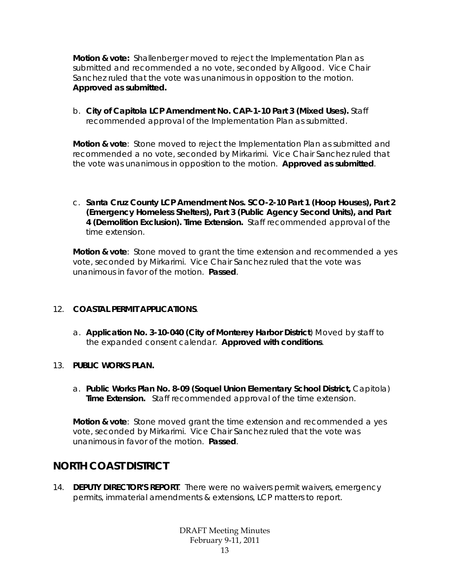**Motion & vote:** Shallenberger moved to reject the Implementation Plan as submitted and recommended a no vote, seconded by Allgood. Vice Chair Sanchez ruled that the vote was unanimous in opposition to the motion. **Approved as submitted.**

b. **City of Capitola LCP Amendment No. CAP-1-10 Part 3 (Mixed Uses).** Staff recommended approval of the Implementation Plan as submitted.

**Motion & vote**: Stone moved to reject the Implementation Plan as submitted and recommended a no vote, seconded by Mirkarimi. Vice Chair Sanchez ruled that the vote was unanimous in opposition to the motion. **Approved as submitted**.

c. **Santa Cruz County LCP Amendment Nos. SCO-2-10 Part 1 (Hoop Houses), Part 2 (Emergency Homeless Shelters), Part 3 (Public Agency Second Units), and Part 4 (Demolition Exclusion). Time Extension.** Staff recommended approval of the time extension.

**Motion & vote**: Stone moved to grant the time extension and recommended a yes vote, seconded by Mirkarimi. Vice Chair Sanchez ruled that the vote was unanimous in favor of the motion. **Passed**.

### 12. **COASTAL PERMIT APPLICATIONS**.

a. **Application No. 3-10-040 (City of Monterey Harbor District**) Moved by staff to the expanded consent calendar. **Approved with conditions**.

### 13. **PUBLIC WORKS PLAN.**

a. **Public Works Plan No. 8-09 (Soquel Union Elementary School District,** Capitola) **Time Extension.** Staff recommended approval of the time extension.

**Motion & vote**: Stone moved grant the time extension and recommended a yes vote, seconded by Mirkarimi. Vice Chair Sanchez ruled that the vote was unanimous in favor of the motion. **Passed**.

# **NORTH COAST DISTRICT**

14. **DEPUTY DIRECTOR'S REPORT**. There were no waivers permit waivers, emergency permits, immaterial amendments & extensions, LCP matters to report.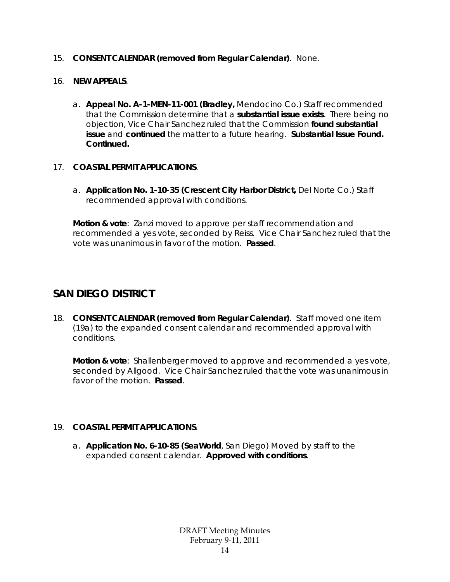### 15. **CONSENT CALENDAR (removed from Regular Calendar)**. None.

### 16. **NEW APPEALS**.

a. **Appeal No. A-1-MEN-11-001 (Bradley,** Mendocino Co.) Staff recommended that the Commission determine that a **substantial issue exists**. There being no objection, Vice Chair Sanchez ruled that the Commission **found substantial issue** and **continued** the matter to a future hearing. **Substantial Issue Found. Continued.**

### 17. **COASTAL PERMIT APPLICATIONS**.

a. **Application No. 1-10-35 (Crescent City Harbor District,** Del Norte Co.) Staff recommended approval with conditions.

**Motion & vote**: Zanzi moved to approve per staff recommendation and recommended a yes vote, seconded by Reiss. Vice Chair Sanchez ruled that the vote was unanimous in favor of the motion. **Passed**.

# **SAN DIEGO DISTRICT**

18. **CONSENT CALENDAR (removed from Regular Calendar)**. Staff moved one item (19a) to the expanded consent calendar and recommended approval with conditions.

**Motion & vote**: Shallenberger moved to approve and recommended a yes vote, seconded by Allgood. Vice Chair Sanchez ruled that the vote was unanimous in favor of the motion. **Passed**.

### 19. **COASTAL PERMIT APPLICATIONS**.

a. **Application No. 6-10-85 (SeaWorld**, San Diego) Moved by staff to the expanded consent calendar. **Approved with conditions**.